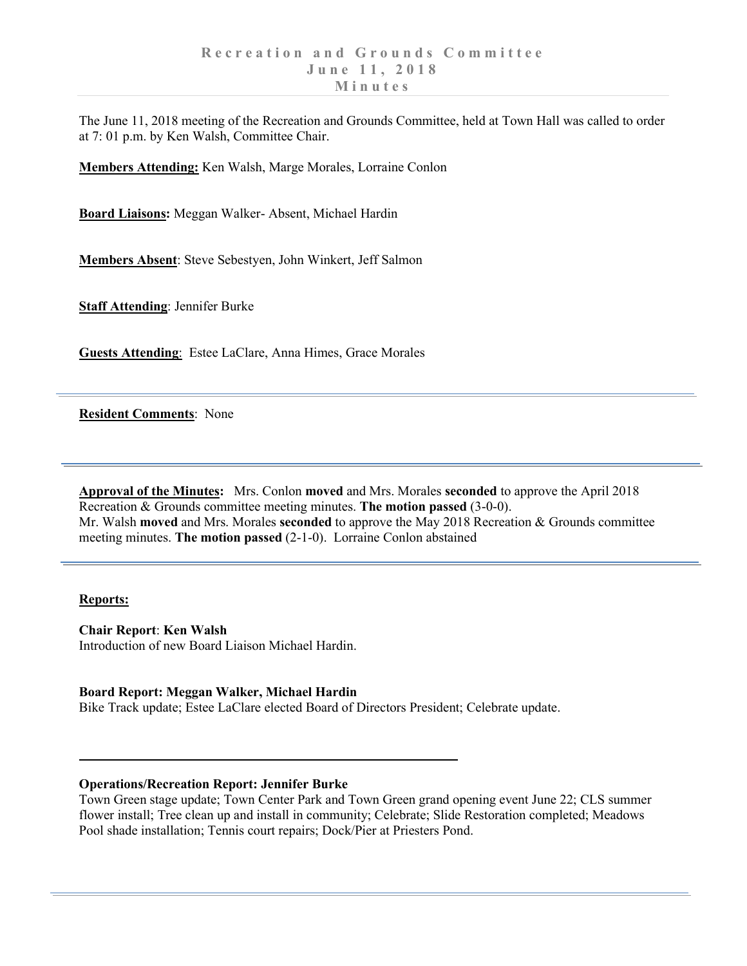The June 11, 2018 meeting of the Recreation and Grounds Committee, held at Town Hall was called to order at 7: 01 p.m. by Ken Walsh, Committee Chair.

**Members Attending:** Ken Walsh, Marge Morales, Lorraine Conlon

**Board Liaisons:** Meggan Walker- Absent, Michael Hardin

**Members Absent**: Steve Sebestyen, John Winkert, Jeff Salmon

**Staff Attending**: Jennifer Burke

**Guests Attending**: Estee LaClare, Anna Himes, Grace Morales

**Resident Comments**: None

**Approval of the Minutes:** Mrs. Conlon **moved** and Mrs. Morales **seconded** to approve the April 2018 Recreation & Grounds committee meeting minutes. **The motion passed** (3-0-0). Mr. Walsh **moved** and Mrs. Morales **seconded** to approve the May 2018 Recreation & Grounds committee meeting minutes. **The motion passed** (2-1-0). Lorraine Conlon abstained

### **Reports:**

**Chair Report**: **Ken Walsh** Introduction of new Board Liaison Michael Hardin.

### **Board Report: Meggan Walker, Michael Hardin**

Bike Track update; Estee LaClare elected Board of Directors President; Celebrate update.

## **Operations/Recreation Report: Jennifer Burke**

Town Green stage update; Town Center Park and Town Green grand opening event June 22; CLS summer flower install; Tree clean up and install in community; Celebrate; Slide Restoration completed; Meadows Pool shade installation; Tennis court repairs; Dock/Pier at Priesters Pond.